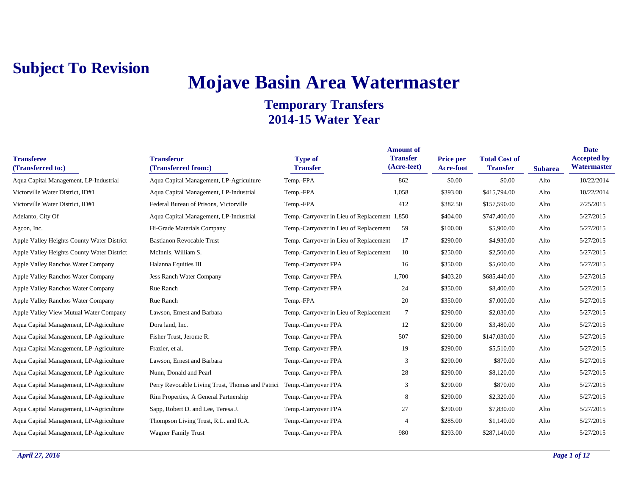# **Mojave Basin Area Watermaster**

| <b>Transferee</b><br>(Transferred to:)     | <b>Transferor</b><br>(Transferred from:)         | <b>Type of</b><br><b>Transfer</b>            | <b>Amount of</b><br><b>Transfer</b><br>(Acre-feet) | <b>Price per</b><br>Acre-foot | <b>Total Cost of</b><br><b>Transfer</b> | <b>Subarea</b> | <b>Date</b><br><b>Accepted by</b><br>Watermaster |
|--------------------------------------------|--------------------------------------------------|----------------------------------------------|----------------------------------------------------|-------------------------------|-----------------------------------------|----------------|--------------------------------------------------|
| Aqua Capital Management, LP-Industrial     | Aqua Capital Management, LP-Agriculture          | Temp.-FPA                                    | 862                                                | \$0.00                        | \$0.00                                  | Alto           | 10/22/2014                                       |
| Victorville Water District, ID#1           | Aqua Capital Management, LP-Industrial           | Temp.-FPA                                    | 1,058                                              | \$393.00                      | \$415,794.00                            | Alto           | 10/22/2014                                       |
| Victorville Water District, ID#1           | Federal Bureau of Prisons, Victorville           | Temp.-FPA                                    | 412                                                | \$382.50                      | \$157,590.00                            | Alto           | 2/25/2015                                        |
| Adelanto, City Of                          | Aqua Capital Management, LP-Industrial           | Temp.-Carryover in Lieu of Replacement 1,850 |                                                    | \$404.00                      | \$747,400.00                            | Alto           | 5/27/2015                                        |
| Agcon, Inc.                                | Hi-Grade Materials Company                       | Temp.-Carryover in Lieu of Replacement       | 59                                                 | \$100.00                      | \$5,900.00                              | Alto           | 5/27/2015                                        |
| Apple Valley Heights County Water District | <b>Bastianon Revocable Trust</b>                 | Temp.-Carryover in Lieu of Replacement       | 17                                                 | \$290.00                      | \$4,930.00                              | Alto           | 5/27/2015                                        |
| Apple Valley Heights County Water District | McInnis, William S.                              | Temp.-Carryover in Lieu of Replacement       | 10                                                 | \$250.00                      | \$2,500.00                              | Alto           | 5/27/2015                                        |
| Apple Valley Ranchos Water Company         | Halanna Equities III                             | Temp.-Carryover FPA                          | 16                                                 | \$350.00                      | \$5,600.00                              | Alto           | 5/27/2015                                        |
| Apple Valley Ranchos Water Company         | Jess Ranch Water Company                         | Temp.-Carryover FPA                          | 1,700                                              | \$403.20                      | \$685,440.00                            | Alto           | 5/27/2015                                        |
| Apple Valley Ranchos Water Company         | Rue Ranch                                        | Temp.-Carryover FPA                          | 24                                                 | \$350.00                      | \$8,400.00                              | Alto           | 5/27/2015                                        |
| Apple Valley Ranchos Water Company         | Rue Ranch                                        | Temp.-FPA                                    | 20                                                 | \$350.00                      | \$7,000.00                              | Alto           | 5/27/2015                                        |
| Apple Valley View Mutual Water Company     | Lawson, Ernest and Barbara                       | Temp.-Carryover in Lieu of Replacement       | 7                                                  | \$290.00                      | \$2,030.00                              | Alto           | 5/27/2015                                        |
| Aqua Capital Management, LP-Agriculture    | Dora land, Inc.                                  | Temp.-Carryover FPA                          | 12                                                 | \$290.00                      | \$3,480.00                              | Alto           | 5/27/2015                                        |
| Aqua Capital Management, LP-Agriculture    | Fisher Trust, Jerome R.                          | Temp.-Carryover FPA                          | 507                                                | \$290.00                      | \$147,030.00                            | Alto           | 5/27/2015                                        |
| Aqua Capital Management, LP-Agriculture    | Frazier, et al.                                  | Temp.-Carryover FPA                          | 19                                                 | \$290.00                      | \$5,510.00                              | Alto           | 5/27/2015                                        |
| Aqua Capital Management, LP-Agriculture    | Lawson, Ernest and Barbara                       | Temp.-Carryover FPA                          | 3                                                  | \$290.00                      | \$870.00                                | Alto           | 5/27/2015                                        |
| Aqua Capital Management, LP-Agriculture    | Nunn, Donald and Pearl                           | Temp.-Carryover FPA                          | 28                                                 | \$290.00                      | \$8,120.00                              | Alto           | 5/27/2015                                        |
| Aqua Capital Management, LP-Agriculture    | Perry Revocable Living Trust, Thomas and Patrici | Temp.-Carryover FPA                          | 3                                                  | \$290.00                      | \$870.00                                | Alto           | 5/27/2015                                        |
| Aqua Capital Management, LP-Agriculture    | Rim Properties, A General Partnership            | Temp.-Carryover FPA                          | 8                                                  | \$290.00                      | \$2,320.00                              | Alto           | 5/27/2015                                        |
| Aqua Capital Management, LP-Agriculture    | Sapp, Robert D. and Lee, Teresa J.               | Temp.-Carryover FPA                          | 27                                                 | \$290.00                      | \$7,830.00                              | Alto           | 5/27/2015                                        |
| Aqua Capital Management, LP-Agriculture    | Thompson Living Trust, R.L. and R.A.             | Temp.-Carryover FPA                          | $\overline{4}$                                     | \$285.00                      | \$1,140.00                              | Alto           | 5/27/2015                                        |
| Aqua Capital Management, LP-Agriculture    | <b>Wagner Family Trust</b>                       | Temp.-Carryover FPA                          | 980                                                | \$293.00                      | \$287,140.00                            | Alto           | 5/27/2015                                        |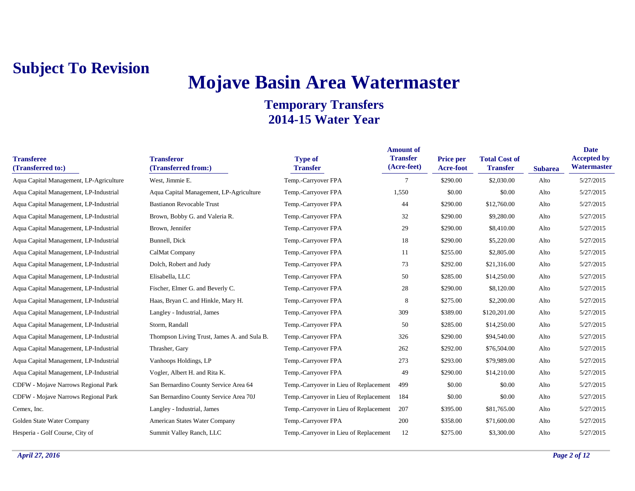## **Mojave Basin Area Watermaster**

| <b>Transferee</b><br>(Transferred to:)  | <b>Transferor</b><br>(Transferred from:)    | <b>Type of</b><br><b>Transfer</b>      | <b>Amount of</b><br><b>Transfer</b><br>(Acre-feet) | Price per<br>Acre-foot | <b>Total Cost of</b><br><b>Transfer</b> | <b>Subarea</b> | <b>Date</b><br><b>Accepted by</b><br>Watermaster |
|-----------------------------------------|---------------------------------------------|----------------------------------------|----------------------------------------------------|------------------------|-----------------------------------------|----------------|--------------------------------------------------|
| Aqua Capital Management, LP-Agriculture | West, Jimmie E.                             | Temp.-Carryover FPA                    | $\overline{7}$                                     | \$290.00               | \$2,030.00                              | Alto           | 5/27/2015                                        |
| Aqua Capital Management, LP-Industrial  | Aqua Capital Management, LP-Agriculture     | Temp.-Carryover FPA                    | 1,550                                              | \$0.00                 | \$0.00                                  | Alto           | 5/27/2015                                        |
| Aqua Capital Management, LP-Industrial  | <b>Bastianon Revocable Trust</b>            | Temp.-Carryover FPA                    | 44                                                 | \$290.00               | \$12,760.00                             | Alto           | 5/27/2015                                        |
| Aqua Capital Management, LP-Industrial  | Brown, Bobby G. and Valeria R.              | Temp.-Carryover FPA                    | 32                                                 | \$290.00               | \$9,280.00                              | Alto           | 5/27/2015                                        |
| Aqua Capital Management, LP-Industrial  | Brown, Jennifer                             | Temp.-Carryover FPA                    | 29                                                 | \$290.00               | \$8,410.00                              | Alto           | 5/27/2015                                        |
| Aqua Capital Management, LP-Industrial  | Bunnell, Dick                               | Temp.-Carryover FPA                    | 18                                                 | \$290.00               | \$5,220.00                              | Alto           | 5/27/2015                                        |
| Aqua Capital Management, LP-Industrial  | CalMat Company                              | Temp.-Carryover FPA                    | 11                                                 | \$255.00               | \$2,805.00                              | Alto           | 5/27/2015                                        |
| Aqua Capital Management, LP-Industrial  | Dolch, Robert and Judy                      | Temp.-Carryover FPA                    | 73                                                 | \$292.00               | \$21,316.00                             | Alto           | 5/27/2015                                        |
| Aqua Capital Management, LP-Industrial  | Elisabella, LLC                             | Temp.-Carryover FPA                    | 50                                                 | \$285.00               | \$14,250.00                             | Alto           | 5/27/2015                                        |
| Aqua Capital Management, LP-Industrial  | Fischer, Elmer G. and Beverly C.            | Temp.-Carryover FPA                    | 28                                                 | \$290.00               | \$8,120.00                              | Alto           | 5/27/2015                                        |
| Aqua Capital Management, LP-Industrial  | Haas, Bryan C. and Hinkle, Mary H.          | Temp.-Carryover FPA                    | 8                                                  | \$275.00               | \$2,200.00                              | Alto           | 5/27/2015                                        |
| Aqua Capital Management, LP-Industrial  | Langley - Industrial, James                 | Temp.-Carryover FPA                    | 309                                                | \$389.00               | \$120,201.00                            | Alto           | 5/27/2015                                        |
| Aqua Capital Management, LP-Industrial  | Storm, Randall                              | Temp.-Carryover FPA                    | 50                                                 | \$285.00               | \$14,250.00                             | Alto           | 5/27/2015                                        |
| Aqua Capital Management, LP-Industrial  | Thompson Living Trust, James A. and Sula B. | Temp.-Carryover FPA                    | 326                                                | \$290.00               | \$94,540.00                             | Alto           | 5/27/2015                                        |
| Aqua Capital Management, LP-Industrial  | Thrasher, Gary                              | Temp.-Carryover FPA                    | 262                                                | \$292.00               | \$76,504.00                             | Alto           | 5/27/2015                                        |
| Aqua Capital Management, LP-Industrial  | Vanhoops Holdings, LP                       | Temp.-Carryover FPA                    | 273                                                | \$293.00               | \$79,989.00                             | Alto           | 5/27/2015                                        |
| Aqua Capital Management, LP-Industrial  | Vogler, Albert H. and Rita K.               | Temp.-Carryover FPA                    | 49                                                 | \$290.00               | \$14,210.00                             | Alto           | 5/27/2015                                        |
| CDFW - Mojave Narrows Regional Park     | San Bernardino County Service Area 64       | Temp.-Carryover in Lieu of Replacement | 499                                                | \$0.00                 | \$0.00                                  | Alto           | 5/27/2015                                        |
| CDFW - Mojave Narrows Regional Park     | San Bernardino County Service Area 70J      | Temp.-Carryover in Lieu of Replacement | 184                                                | \$0.00                 | \$0.00                                  | Alto           | 5/27/2015                                        |
| Cemex, Inc.                             | Langley - Industrial, James                 | Temp.-Carryover in Lieu of Replacement | 207                                                | \$395.00               | \$81,765.00                             | Alto           | 5/27/2015                                        |
| Golden State Water Company              | American States Water Company               | Temp.-Carryover FPA                    | 200                                                | \$358.00               | \$71,600.00                             | Alto           | 5/27/2015                                        |
| Hesperia - Golf Course, City of         | Summit Valley Ranch, LLC                    | Temp.-Carryover in Lieu of Replacement | 12                                                 | \$275.00               | \$3,300.00                              | Alto           | 5/27/2015                                        |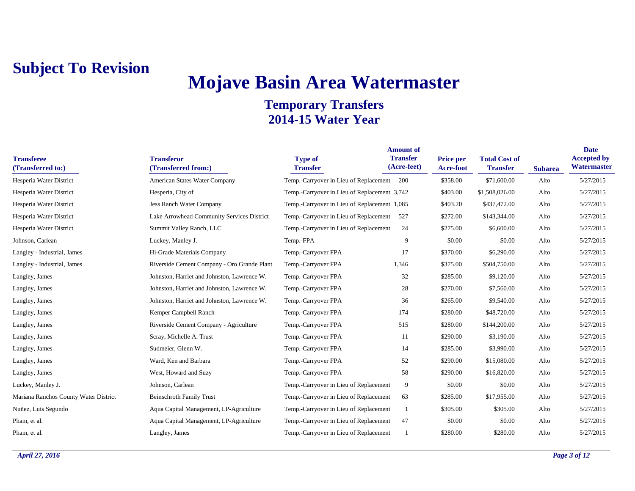## **Mojave Basin Area Watermaster**

| <b>Transferee</b><br>(Transferred to:) | <b>Transferor</b><br>(Transferred from:)    | <b>Type of</b><br><b>Transfer</b>            | <b>Amount of</b><br><b>Transfer</b><br>(Acre-feet) | Price per<br>Acre-foot | <b>Total Cost of</b><br><b>Transfer</b> | <b>Subarea</b> | <b>Date</b><br><b>Accepted by</b><br>Watermaster |
|----------------------------------------|---------------------------------------------|----------------------------------------------|----------------------------------------------------|------------------------|-----------------------------------------|----------------|--------------------------------------------------|
| Hesperia Water District                | American States Water Company               | Temp.-Carryover in Lieu of Replacement 200   |                                                    | \$358.00               | \$71,600.00                             | Alto           | 5/27/2015                                        |
| Hesperia Water District                | Hesperia, City of                           | Temp.-Carryover in Lieu of Replacement 3,742 |                                                    | \$403.00               | \$1,508,026.00                          | Alto           | 5/27/2015                                        |
| Hesperia Water District                | <b>Jess Ranch Water Company</b>             | Temp.-Carryover in Lieu of Replacement 1,085 |                                                    | \$403.20               | \$437,472.00                            | Alto           | 5/27/2015                                        |
| Hesperia Water District                | Lake Arrowhead Community Services District  | Temp.-Carryover in Lieu of Replacement 527   |                                                    | \$272.00               | \$143,344.00                            | Alto           | 5/27/2015                                        |
| Hesperia Water District                | Summit Valley Ranch, LLC                    | Temp.-Carryover in Lieu of Replacement       | 24                                                 | \$275.00               | \$6,600.00                              | Alto           | 5/27/2015                                        |
| Johnson, Carlean                       | Luckey, Manley J.                           | Temp.-FPA                                    | 9                                                  | \$0.00                 | \$0.00                                  | Alto           | 5/27/2015                                        |
| Langley - Industrial, James            | Hi-Grade Materials Company                  | Temp.-Carryover FPA                          | 17                                                 | \$370.00               | \$6,290.00                              | Alto           | 5/27/2015                                        |
| Langley - Industrial, James            | Riverside Cement Company - Oro Grande Plant | Temp.-Carryover FPA                          | 1,346                                              | \$375.00               | \$504,750.00                            | Alto           | 5/27/2015                                        |
| Langley, James                         | Johnston, Harriet and Johnston, Lawrence W. | Temp.-Carryover FPA                          | 32                                                 | \$285.00               | \$9,120.00                              | Alto           | 5/27/2015                                        |
| Langley, James                         | Johnston, Harriet and Johnston, Lawrence W. | Temp.-Carryover FPA                          | 28                                                 | \$270.00               | \$7,560.00                              | Alto           | 5/27/2015                                        |
| Langley, James                         | Johnston, Harriet and Johnston, Lawrence W. | Temp.-Carryover FPA                          | 36                                                 | \$265.00               | \$9,540.00                              | Alto           | 5/27/2015                                        |
| Langley, James                         | Kemper Campbell Ranch                       | Temp.-Carryover FPA                          | 174                                                | \$280.00               | \$48,720.00                             | Alto           | 5/27/2015                                        |
| Langley, James                         | Riverside Cement Company - Agriculture      | Temp.-Carryover FPA                          | 515                                                | \$280.00               | \$144,200.00                            | Alto           | 5/27/2015                                        |
| Langley, James                         | Scray, Michelle A. Trust                    | Temp.-Carryover FPA                          | 11                                                 | \$290.00               | \$3,190.00                              | Alto           | 5/27/2015                                        |
| Langley, James                         | Sudmeier, Glenn W.                          | Temp.-Carryover FPA                          | 14                                                 | \$285.00               | \$3,990.00                              | Alto           | 5/27/2015                                        |
| Langley, James                         | Ward, Ken and Barbara                       | Temp.-Carryover FPA                          | 52                                                 | \$290.00               | \$15,080.00                             | Alto           | 5/27/2015                                        |
| Langley, James                         | West, Howard and Suzy                       | Temp.-Carryover FPA                          | 58                                                 | \$290.00               | \$16,820.00                             | Alto           | 5/27/2015                                        |
| Luckey, Manley J.                      | Johnson, Carlean                            | Temp.-Carryover in Lieu of Replacement       | 9                                                  | \$0.00                 | \$0.00                                  | Alto           | 5/27/2015                                        |
| Mariana Ranchos County Water District  | <b>Beinschroth Family Trust</b>             | Temp.-Carryover in Lieu of Replacement       | 63                                                 | \$285.00               | \$17,955.00                             | Alto           | 5/27/2015                                        |
| Nuñez, Luis Segundo                    | Aqua Capital Management, LP-Agriculture     | Temp.-Carryover in Lieu of Replacement       |                                                    | \$305.00               | \$305.00                                | Alto           | 5/27/2015                                        |
| Pham, et al.                           | Aqua Capital Management, LP-Agriculture     | Temp.-Carryover in Lieu of Replacement       | 47                                                 | \$0.00                 | \$0.00                                  | Alto           | 5/27/2015                                        |
| Pham, et al.                           | Langley, James                              | Temp.-Carryover in Lieu of Replacement       |                                                    | \$280.00               | \$280.00                                | Alto           | 5/27/2015                                        |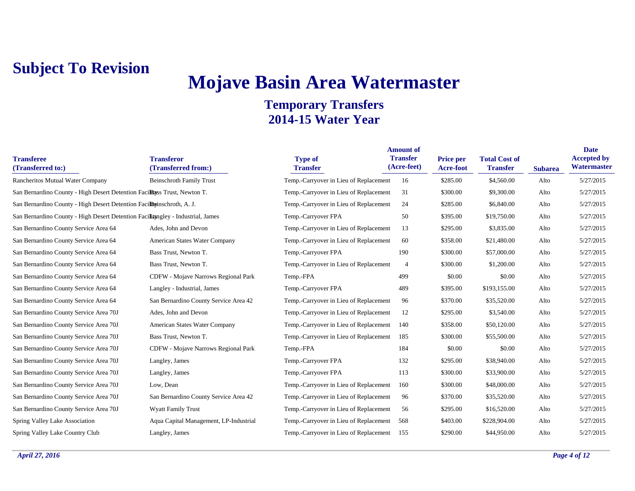## **Mojave Basin Area Watermaster**

| <b>Transferee</b><br>(Transferred to:)                                          | <b>Transferor</b><br>(Transferred from:)   | <b>Type of</b><br><b>Transfer</b>      | <b>Amount of</b><br><b>Transfer</b><br>(Acre-feet) | Price per<br>Acre-foot | <b>Total Cost of</b><br><b>Transfer</b> | <b>Subarea</b> | <b>Date</b><br><b>Accepted by</b><br>Watermaster |
|---------------------------------------------------------------------------------|--------------------------------------------|----------------------------------------|----------------------------------------------------|------------------------|-----------------------------------------|----------------|--------------------------------------------------|
| Rancheritos Mutual Water Company                                                | <b>Beinschroth Family Trust</b>            | Temp.-Carryover in Lieu of Replacement | 16                                                 | \$285.00               | \$4,560.00                              | Alto           | 5/27/2015                                        |
| San Bernardino County - High Desert Detention Faciliass Trust, Newton T.        |                                            | Temp.-Carryover in Lieu of Replacement | 31                                                 | \$300.00               | \$9,300.00                              | Alto           | 5/27/2015                                        |
| San Bernardino County - High Desert Detention Facillarinschroth, A. J.          |                                            | Temp.-Carryover in Lieu of Replacement | 24                                                 | \$285.00               | \$6,840.00                              | Alto           | 5/27/2015                                        |
| San Bernardino County - High Desert Detention Facilitangley - Industrial, James |                                            | Temp.-Carryover FPA                    | 50                                                 | \$395.00               | \$19,750.00                             | Alto           | 5/27/2015                                        |
| San Bernardino County Service Area 64                                           | Ades, John and Devon                       | Temp.-Carryover in Lieu of Replacement | 13                                                 | \$295.00               | \$3,835.00                              | Alto           | 5/27/2015                                        |
| San Bernardino County Service Area 64                                           | American States Water Company              | Temp.-Carryover in Lieu of Replacement | 60                                                 | \$358.00               | \$21,480.00                             | Alto           | 5/27/2015                                        |
| San Bernardino County Service Area 64                                           | Bass Trust, Newton T.                      | Temp.-Carryover FPA                    | 190                                                | \$300.00               | \$57,000.00                             | Alto           | 5/27/2015                                        |
| San Bernardino County Service Area 64                                           | Bass Trust, Newton T.                      | Temp.-Carryover in Lieu of Replacement | $\overline{4}$                                     | \$300.00               | \$1,200.00                              | Alto           | 5/27/2015                                        |
| San Bernardino County Service Area 64                                           | <b>CDFW</b> - Mojave Narrows Regional Park | Temp.-FPA                              | 499                                                | \$0.00                 | \$0.00                                  | Alto           | 5/27/2015                                        |
| San Bernardino County Service Area 64                                           | Langley - Industrial, James                | Temp.-Carryover FPA                    | 489                                                | \$395.00               | \$193,155.00                            | Alto           | 5/27/2015                                        |
| San Bernardino County Service Area 64                                           | San Bernardino County Service Area 42      | Temp.-Carryover in Lieu of Replacement | 96                                                 | \$370.00               | \$35,520.00                             | Alto           | 5/27/2015                                        |
| San Bernardino County Service Area 70J                                          | Ades, John and Devon                       | Temp.-Carryover in Lieu of Replacement | 12                                                 | \$295.00               | \$3,540.00                              | Alto           | 5/27/2015                                        |
| San Bernardino County Service Area 70J                                          | American States Water Company              | Temp.-Carryover in Lieu of Replacement | 140                                                | \$358.00               | \$50,120.00                             | Alto           | 5/27/2015                                        |
| San Bernardino County Service Area 70J                                          | Bass Trust, Newton T.                      | Temp.-Carryover in Lieu of Replacement | 185                                                | \$300.00               | \$55,500.00                             | Alto           | 5/27/2015                                        |
| San Bernardino County Service Area 70J                                          | CDFW - Mojave Narrows Regional Park        | Temp.-FPA                              | 184                                                | \$0.00                 | \$0.00                                  | Alto           | 5/27/2015                                        |
| San Bernardino County Service Area 70J                                          | Langley, James                             | Temp.-Carryover FPA                    | 132                                                | \$295.00               | \$38,940.00                             | Alto           | 5/27/2015                                        |
| San Bernardino County Service Area 70J                                          | Langley, James                             | Temp.-Carryover FPA                    | 113                                                | \$300.00               | \$33,900.00                             | Alto           | 5/27/2015                                        |
| San Bernardino County Service Area 70J                                          | Low, Dean                                  | Temp.-Carryover in Lieu of Replacement | 160                                                | \$300.00               | \$48,000.00                             | Alto           | 5/27/2015                                        |
| San Bernardino County Service Area 70J                                          | San Bernardino County Service Area 42      | Temp.-Carryover in Lieu of Replacement | 96                                                 | \$370.00               | \$35,520.00                             | Alto           | 5/27/2015                                        |
| San Bernardino County Service Area 70J                                          | <b>Wyatt Family Trust</b>                  | Temp.-Carryover in Lieu of Replacement | 56                                                 | \$295.00               | \$16,520.00                             | Alto           | 5/27/2015                                        |
| Spring Valley Lake Association                                                  | Aqua Capital Management, LP-Industrial     | Temp.-Carryover in Lieu of Replacement | 568                                                | \$403.00               | \$228,904.00                            | Alto           | 5/27/2015                                        |
| Spring Valley Lake Country Club                                                 | Langley, James                             | Temp.-Carryover in Lieu of Replacement | 155                                                | \$290.00               | \$44,950.00                             | Alto           | 5/27/2015                                        |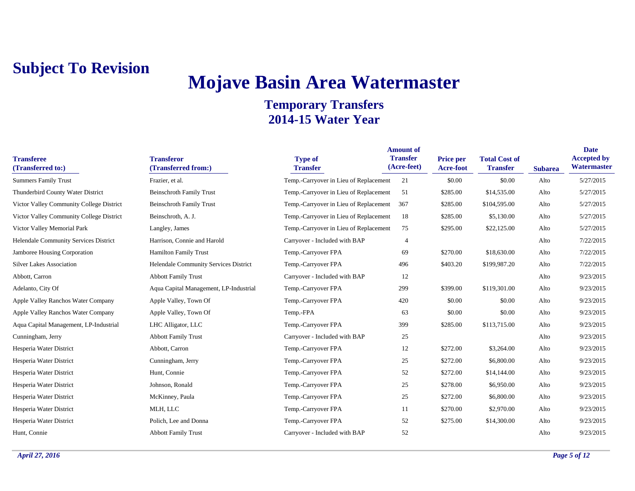## **Mojave Basin Area Watermaster**

| <b>Transferee</b><br>(Transferred to:)   | <b>Transferor</b><br>(Transferred from:) | <b>Type of</b><br><b>Transfer</b>      | <b>Amount of</b><br><b>Transfer</b><br>(Acre-feet) | <b>Price per</b><br>Acre-foot | <b>Total Cost of</b><br><b>Transfer</b> | <b>Subarea</b> | <b>Date</b><br><b>Accepted by</b><br>Watermaster |
|------------------------------------------|------------------------------------------|----------------------------------------|----------------------------------------------------|-------------------------------|-----------------------------------------|----------------|--------------------------------------------------|
| <b>Summers Family Trust</b>              | Frazier, et al.                          | Temp.-Carryover in Lieu of Replacement | 21                                                 | \$0.00                        | \$0.00                                  | Alto           | 5/27/2015                                        |
| Thunderbird County Water District        | <b>Beinschroth Family Trust</b>          | Temp.-Carryover in Lieu of Replacement | 51                                                 | \$285.00                      | \$14,535.00                             | Alto           | 5/27/2015                                        |
| Victor Valley Community College District | <b>Beinschroth Family Trust</b>          | Temp.-Carryover in Lieu of Replacement | 367                                                | \$285.00                      | \$104,595.00                            | Alto           | 5/27/2015                                        |
| Victor Valley Community College District | Beinschroth, A. J.                       | Temp.-Carryover in Lieu of Replacement | 18                                                 | \$285.00                      | \$5,130.00                              | Alto           | 5/27/2015                                        |
| Victor Valley Memorial Park              | Langley, James                           | Temp.-Carryover in Lieu of Replacement | 75                                                 | \$295.00                      | \$22,125.00                             | Alto           | 5/27/2015                                        |
| Helendale Community Services District    | Harrison, Connie and Harold              | Carryover - Included with BAP          | 4                                                  |                               |                                         | Alto           | 7/22/2015                                        |
| Jamboree Housing Corporation             | <b>Hamilton Family Trust</b>             | Temp.-Carryover FPA                    | 69                                                 | \$270.00                      | \$18,630.00                             | Alto           | 7/22/2015                                        |
| <b>Silver Lakes Association</b>          | Helendale Community Services District    | Temp.-Carryover FPA                    | 496                                                | \$403.20                      | \$199,987.20                            | Alto           | 7/22/2015                                        |
| Abbott, Carron                           | <b>Abbott Family Trust</b>               | Carryover - Included with BAP          | 12                                                 |                               |                                         | Alto           | 9/23/2015                                        |
| Adelanto, City Of                        | Aqua Capital Management, LP-Industrial   | Temp.-Carryover FPA                    | 299                                                | \$399.00                      | \$119,301.00                            | Alto           | 9/23/2015                                        |
| Apple Valley Ranchos Water Company       | Apple Valley, Town Of                    | Temp.-Carryover FPA                    | 420                                                | \$0.00                        | \$0.00                                  | Alto           | 9/23/2015                                        |
| Apple Valley Ranchos Water Company       | Apple Valley, Town Of                    | Temp.-FPA                              | 63                                                 | \$0.00                        | \$0.00                                  | Alto           | 9/23/2015                                        |
| Aqua Capital Management, LP-Industrial   | LHC Alligator, LLC                       | Temp.-Carryover FPA                    | 399                                                | \$285.00                      | \$113,715.00                            | Alto           | 9/23/2015                                        |
| Cunningham, Jerry                        | <b>Abbott Family Trust</b>               | Carryover - Included with BAP          | 25                                                 |                               |                                         | Alto           | 9/23/2015                                        |
| Hesperia Water District                  | Abbott, Carron                           | Temp.-Carryover FPA                    | 12                                                 | \$272.00                      | \$3,264.00                              | Alto           | 9/23/2015                                        |
| Hesperia Water District                  | Cunningham, Jerry                        | Temp.-Carryover FPA                    | 25                                                 | \$272.00                      | \$6,800.00                              | Alto           | 9/23/2015                                        |
| Hesperia Water District                  | Hunt, Connie                             | Temp.-Carryover FPA                    | 52                                                 | \$272.00                      | \$14,144.00                             | Alto           | 9/23/2015                                        |
| Hesperia Water District                  | Johnson, Ronald                          | Temp.-Carryover FPA                    | 25                                                 | \$278.00                      | \$6,950.00                              | Alto           | 9/23/2015                                        |
| Hesperia Water District                  | McKinney, Paula                          | Temp.-Carryover FPA                    | 25                                                 | \$272.00                      | \$6,800.00                              | Alto           | 9/23/2015                                        |
| Hesperia Water District                  | MLH, LLC                                 | Temp.-Carryover FPA                    | 11                                                 | \$270.00                      | \$2,970.00                              | Alto           | 9/23/2015                                        |
| Hesperia Water District                  | Polich, Lee and Donna                    | Temp.-Carryover FPA                    | 52                                                 | \$275.00                      | \$14,300.00                             | Alto           | 9/23/2015                                        |
| Hunt, Connie                             | <b>Abbott Family Trust</b>               | Carryover - Included with BAP          | 52                                                 |                               |                                         | Alto           | 9/23/2015                                        |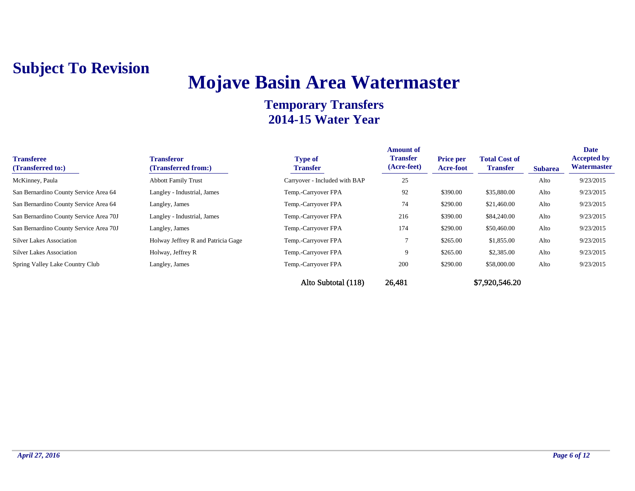## **Mojave Basin Area Watermaster**

| <b>Transferee</b><br>(Transferred to:) | <b>Transferor</b><br>(Transferred from:) | <b>Type of</b><br><b>Transfer</b> | <b>Amount of</b><br><b>Transfer</b><br>(Acre-feet) | <b>Price per</b><br><b>Acre-foot</b> | <b>Total Cost of</b><br><b>Transfer</b> | <b>Subarea</b> | <b>Date</b><br><b>Accepted by</b><br>Watermaster |
|----------------------------------------|------------------------------------------|-----------------------------------|----------------------------------------------------|--------------------------------------|-----------------------------------------|----------------|--------------------------------------------------|
| McKinney, Paula                        | <b>Abbott Family Trust</b>               | Carryover - Included with BAP     | 25                                                 |                                      |                                         | Alto           | 9/23/2015                                        |
| San Bernardino County Service Area 64  | Langley - Industrial, James              | Temp.-Carryover FPA               | 92                                                 | \$390.00                             | \$35,880.00                             | Alto           | 9/23/2015                                        |
| San Bernardino County Service Area 64  | Langley, James                           | Temp.-Carryover FPA               | 74                                                 | \$290.00                             | \$21,460.00                             | Alto           | 9/23/2015                                        |
| San Bernardino County Service Area 70J | Langley - Industrial, James              | Temp.-Carryover FPA               | 216                                                | \$390.00                             | \$84,240.00                             | Alto           | 9/23/2015                                        |
| San Bernardino County Service Area 70J | Langley, James                           | Temp.-Carryover FPA               | 174                                                | \$290.00                             | \$50,460.00                             | Alto           | 9/23/2015                                        |
| <b>Silver Lakes Association</b>        | Holway Jeffrey R and Patricia Gage       | Temp.-Carryover FPA               |                                                    | \$265.00                             | \$1,855.00                              | Alto           | 9/23/2015                                        |
| <b>Silver Lakes Association</b>        | Holway, Jeffrey R                        | Temp.-Carryover FPA               | 9                                                  | \$265.00                             | \$2,385.00                              | Alto           | 9/23/2015                                        |
| Spring Valley Lake Country Club        | Langley, James                           | Temp.-Carryover FPA               | 200                                                | \$290.00                             | \$58,000.00                             | Alto           | 9/23/2015                                        |
|                                        |                                          | Alto Subtotal (118)               | 26,481                                             |                                      | \$7,920,546.20                          |                |                                                  |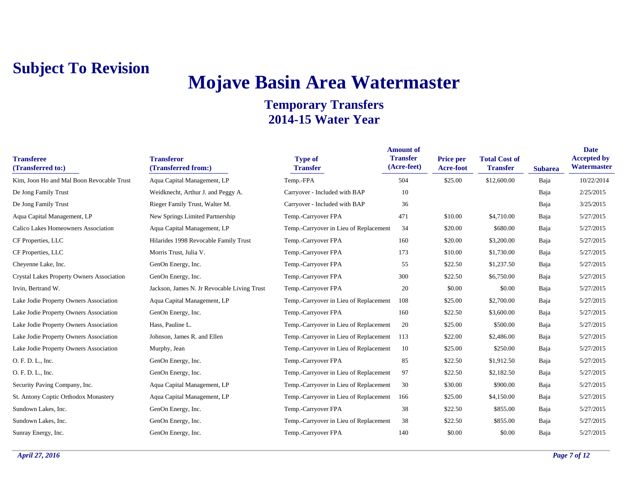## **Mojave Basin Area Watermaster**

| <b>Transferee</b><br>(Transferred to:)    | <b>Transferor</b><br>(Transferred from:)    | <b>Type of</b><br><b>Transfer</b>      | <b>Amount of</b><br><b>Transfer</b><br>(Acre-feet) | <b>Price per</b><br>Acre-foot | <b>Total Cost of</b><br><b>Transfer</b> | <b>Subarea</b> | <b>Date</b><br><b>Accepted by</b><br>Watermaster |
|-------------------------------------------|---------------------------------------------|----------------------------------------|----------------------------------------------------|-------------------------------|-----------------------------------------|----------------|--------------------------------------------------|
| Kim, Joon Ho and Mal Boon Revocable Trust | Aqua Capital Management, LP                 | Temp.-FPA                              | 504                                                | \$25.00                       | \$12,600.00                             | Baja           | 10/22/2014                                       |
| De Jong Family Trust                      | Weidknecht, Arthur J. and Peggy A.          | Carryover - Included with BAP          | 10                                                 |                               |                                         | Baja           | 2/25/2015                                        |
| De Jong Family Trust                      | Rieger Family Trust, Walter M.              | Carryover - Included with BAP          | 36                                                 |                               |                                         | Baja           | 3/25/2015                                        |
| Aqua Capital Management, LP               | New Springs Limited Partnership             | Temp.-Carryover FPA                    | 471                                                | \$10.00                       | \$4,710.00                              | Baja           | 5/27/2015                                        |
| Calico Lakes Homeowners Association       | Aqua Capital Management, LP                 | Temp.-Carryover in Lieu of Replacement | 34                                                 | \$20.00                       | \$680.00                                | Baja           | 5/27/2015                                        |
| CF Properties, LLC                        | Hilarides 1998 Revocable Family Trust       | Temp.-Carryover FPA                    | 160                                                | \$20.00                       | \$3,200.00                              | Baja           | 5/27/2015                                        |
| CF Properties, LLC                        | Morris Trust, Julia V.                      | Temp.-Carryover FPA                    | 173                                                | \$10.00                       | \$1,730.00                              | Baja           | 5/27/2015                                        |
| Cheyenne Lake, Inc.                       | GenOn Energy, Inc.                          | Temp.-Carryover FPA                    | 55                                                 | \$22.50                       | \$1,237.50                              | Baja           | 5/27/2015                                        |
| Crystal Lakes Property Owners Association | GenOn Energy, Inc.                          | Temp.-Carryover FPA                    | 300                                                | \$22.50                       | \$6,750.00                              | Baja           | 5/27/2015                                        |
| Irvin, Bertrand W.                        | Jackson, James N. Jr Revocable Living Trust | Temp.-Carryover FPA                    | 20                                                 | \$0.00                        | \$0.00                                  | Baja           | 5/27/2015                                        |
| Lake Jodie Property Owners Association    | Aqua Capital Management, LP                 | Temp.-Carryover in Lieu of Replacement | 108                                                | \$25.00                       | \$2,700.00                              | Baja           | 5/27/2015                                        |
| Lake Jodie Property Owners Association    | GenOn Energy, Inc.                          | Temp.-Carryover FPA                    | 160                                                | \$22.50                       | \$3,600.00                              | Baja           | 5/27/2015                                        |
| Lake Jodie Property Owners Association    | Hass, Pauline L.                            | Temp.-Carryover in Lieu of Replacement | 20                                                 | \$25.00                       | \$500.00                                | Baja           | 5/27/2015                                        |
| Lake Jodie Property Owners Association    | Johnson, James R. and Ellen                 | Temp.-Carryover in Lieu of Replacement | 113                                                | \$22.00                       | \$2,486.00                              | Baja           | 5/27/2015                                        |
| Lake Jodie Property Owners Association    | Murphy, Jean                                | Temp.-Carryover in Lieu of Replacement | 10                                                 | \$25.00                       | \$250.00                                | Baja           | 5/27/2015                                        |
| O. F. D. L., Inc.                         | GenOn Energy, Inc.                          | Temp.-Carryover FPA                    | 85                                                 | \$22.50                       | \$1,912.50                              | Baja           | 5/27/2015                                        |
| O. F. D. L., Inc.                         | GenOn Energy, Inc.                          | Temp.-Carryover in Lieu of Replacement | 97                                                 | \$22.50                       | \$2,182.50                              | Baja           | 5/27/2015                                        |
| Security Paving Company, Inc.             | Aqua Capital Management, LP                 | Temp.-Carryover in Lieu of Replacement | 30                                                 | \$30.00                       | \$900.00                                | Baja           | 5/27/2015                                        |
| St. Antony Coptic Orthodox Monastery      | Aqua Capital Management, LP                 | Temp.-Carryover in Lieu of Replacement | 166                                                | \$25.00                       | \$4,150.00                              | Baja           | 5/27/2015                                        |
| Sundown Lakes, Inc.                       | GenOn Energy, Inc.                          | Temp.-Carryover FPA                    | 38                                                 | \$22.50                       | \$855.00                                | Baja           | 5/27/2015                                        |
| Sundown Lakes, Inc.                       | GenOn Energy, Inc.                          | Temp.-Carryover in Lieu of Replacement | 38                                                 | \$22.50                       | \$855.00                                | Baja           | 5/27/2015                                        |
| Sunray Energy, Inc.                       | GenOn Energy, Inc.                          | Temp.-Carryover FPA                    | 140                                                | \$0.00                        | \$0.00                                  | Baja           | 5/27/2015                                        |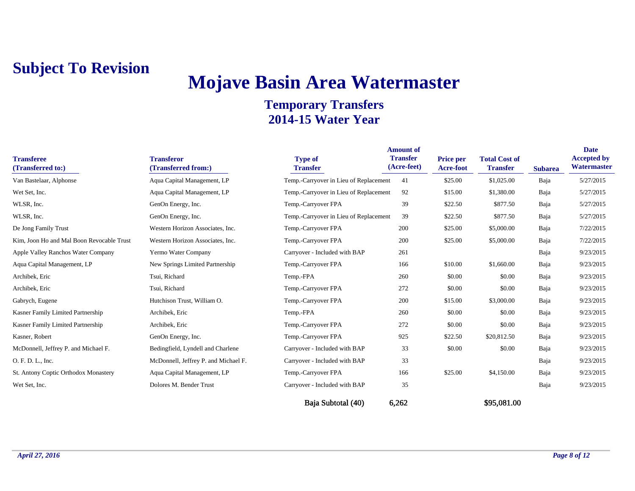## **Mojave Basin Area Watermaster**

| <b>Transferee</b><br>(Transferred to:)    | <b>Transferor</b><br>(Transferred from:) | <b>Type of</b><br><b>Transfer</b>      | <b>Amount of</b><br><b>Transfer</b><br>(Acre-feet) | <b>Price per</b><br>Acre-foot | <b>Total Cost of</b><br><b>Transfer</b> | <b>Subarea</b> | <b>Date</b><br><b>Accepted by</b><br>Watermaster |
|-------------------------------------------|------------------------------------------|----------------------------------------|----------------------------------------------------|-------------------------------|-----------------------------------------|----------------|--------------------------------------------------|
| Van Bastelaar, Alphonse                   | Aqua Capital Management, LP              | Temp.-Carryover in Lieu of Replacement | 41                                                 | \$25.00                       | \$1,025.00                              | Baja           | 5/27/2015                                        |
| Wet Set, Inc.                             | Aqua Capital Management, LP              | Temp.-Carryover in Lieu of Replacement | 92                                                 | \$15.00                       | \$1,380.00                              | Baja           | 5/27/2015                                        |
| WLSR, Inc.                                | GenOn Energy, Inc.                       | Temp.-Carryover FPA                    | 39                                                 | \$22.50                       | \$877.50                                | Baja           | 5/27/2015                                        |
| WLSR, Inc.                                | GenOn Energy, Inc.                       | Temp.-Carryover in Lieu of Replacement | 39                                                 | \$22.50                       | \$877.50                                | Baja           | 5/27/2015                                        |
| De Jong Family Trust                      | Western Horizon Associates, Inc.         | Temp.-Carryover FPA                    | 200                                                | \$25.00                       | \$5,000.00                              | Baja           | 7/22/2015                                        |
| Kim, Joon Ho and Mal Boon Revocable Trust | Western Horizon Associates, Inc.         | Temp.-Carryover FPA                    | 200                                                | \$25.00                       | \$5,000.00                              | Baja           | 7/22/2015                                        |
| Apple Valley Ranchos Water Company        | Yermo Water Company                      | Carryover - Included with BAP          | 261                                                |                               |                                         | Baja           | 9/23/2015                                        |
| Aqua Capital Management, LP               | New Springs Limited Partnership          | Temp.-Carryover FPA                    | 166                                                | \$10.00                       | \$1,660.00                              | Baja           | 9/23/2015                                        |
| Archibek, Eric                            | Tsui, Richard                            | Temp.-FPA                              | 260                                                | \$0.00                        | \$0.00                                  | Baja           | 9/23/2015                                        |
| Archibek, Eric                            | Tsui, Richard                            | Temp.-Carryover FPA                    | 272                                                | \$0.00                        | \$0.00                                  | Baja           | 9/23/2015                                        |
| Gabrych, Eugene                           | Hutchison Trust, William O.              | Temp.-Carryover FPA                    | 200                                                | \$15.00                       | \$3,000.00                              | Baja           | 9/23/2015                                        |
| Kasner Family Limited Partnership         | Archibek, Eric                           | Temp.-FPA                              | 260                                                | \$0.00                        | \$0.00                                  | Baja           | 9/23/2015                                        |
| Kasner Family Limited Partnership         | Archibek, Eric                           | Temp.-Carryover FPA                    | 272                                                | \$0.00                        | \$0.00                                  | Baja           | 9/23/2015                                        |
| Kasner, Robert                            | GenOn Energy, Inc.                       | Temp.-Carryover FPA                    | 925                                                | \$22.50                       | \$20,812.50                             | Baja           | 9/23/2015                                        |
| McDonnell, Jeffrey P. and Michael F.      | Bedingfield, Lyndell and Charlene        | Carryover - Included with BAP          | 33                                                 | \$0.00                        | \$0.00                                  | Baja           | 9/23/2015                                        |
| O. F. D. L., Inc.                         | McDonnell, Jeffrey P. and Michael F.     | Carryover - Included with BAP          | 33                                                 |                               |                                         | Baja           | 9/23/2015                                        |
| St. Antony Coptic Orthodox Monastery      | Aqua Capital Management, LP              | Temp.-Carryover FPA                    | 166                                                | \$25.00                       | \$4,150.00                              | Baja           | 9/23/2015                                        |
| Wet Set, Inc.                             | Dolores M. Bender Trust                  | Carryover - Included with BAP          | 35                                                 |                               |                                         | Baja           | 9/23/2015                                        |
|                                           |                                          | Baia Subtotal (40)                     | 6,262                                              |                               | \$95,081.00                             |                |                                                  |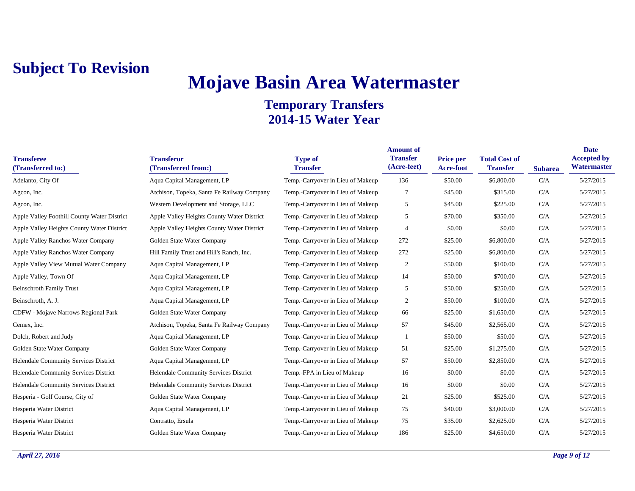# **Mojave Basin Area Watermaster**

| <b>Transferee</b><br>(Transferred to:)      | <b>Transferor</b><br>(Transferred from:)   | <b>Type of</b><br><b>Transfer</b> | <b>Amount of</b><br><b>Transfer</b><br>(Acre-feet) | Price per<br>Acre-foot | <b>Total Cost of</b><br><b>Transfer</b> | <b>Subarea</b> | <b>Date</b><br><b>Accepted by</b><br>Watermaster |
|---------------------------------------------|--------------------------------------------|-----------------------------------|----------------------------------------------------|------------------------|-----------------------------------------|----------------|--------------------------------------------------|
| Adelanto, City Of                           | Aqua Capital Management, LP                | Temp.-Carryover in Lieu of Makeup | 136                                                | \$50.00                | \$6,800.00                              | C/A            | 5/27/2015                                        |
| Agcon, Inc.                                 | Atchison, Topeka, Santa Fe Railway Company | Temp.-Carryover in Lieu of Makeup | 7                                                  | \$45.00                | \$315.00                                | C/A            | 5/27/2015                                        |
| Agcon, Inc.                                 | Western Development and Storage, LLC       | Temp.-Carryover in Lieu of Makeup | 5                                                  | \$45.00                | \$225.00                                | C/A            | 5/27/2015                                        |
| Apple Valley Foothill County Water District | Apple Valley Heights County Water District | Temp.-Carryover in Lieu of Makeup | 5                                                  | \$70.00                | \$350.00                                | C/A            | 5/27/2015                                        |
| Apple Valley Heights County Water District  | Apple Valley Heights County Water District | Temp.-Carryover in Lieu of Makeup | 4                                                  | \$0.00                 | \$0.00                                  | C/A            | 5/27/2015                                        |
| <b>Apple Valley Ranchos Water Company</b>   | Golden State Water Company                 | Temp.-Carryover in Lieu of Makeup | 272                                                | \$25.00                | \$6,800.00                              | C/A            | 5/27/2015                                        |
| Apple Valley Ranchos Water Company          | Hill Family Trust and Hill's Ranch, Inc.   | Temp.-Carryover in Lieu of Makeup | 272                                                | \$25.00                | \$6,800.00                              | C/A            | 5/27/2015                                        |
| Apple Valley View Mutual Water Company      | Aqua Capital Management, LP                | Temp.-Carryover in Lieu of Makeup | $\overline{c}$                                     | \$50.00                | \$100.00                                | C/A            | 5/27/2015                                        |
| Apple Valley, Town Of                       | Aqua Capital Management, LP                | Temp.-Carryover in Lieu of Makeup | 14                                                 | \$50.00                | \$700.00                                | C/A            | 5/27/2015                                        |
| <b>Beinschroth Family Trust</b>             | Aqua Capital Management, LP                | Temp.-Carryover in Lieu of Makeup | 5                                                  | \$50.00                | \$250.00                                | C/A            | 5/27/2015                                        |
| Beinschroth, A. J.                          | Aqua Capital Management, LP                | Temp.-Carryover in Lieu of Makeup | $\overline{c}$                                     | \$50.00                | \$100.00                                | C/A            | 5/27/2015                                        |
| <b>CDFW</b> - Mojave Narrows Regional Park  | Golden State Water Company                 | Temp.-Carryover in Lieu of Makeup | 66                                                 | \$25.00                | \$1,650.00                              | C/A            | 5/27/2015                                        |
| Cemex, Inc.                                 | Atchison, Topeka, Santa Fe Railway Company | Temp.-Carryover in Lieu of Makeup | 57                                                 | \$45.00                | \$2,565.00                              | C/A            | 5/27/2015                                        |
| Dolch, Robert and Judy                      | Aqua Capital Management, LP                | Temp.-Carryover in Lieu of Makeup |                                                    | \$50.00                | \$50.00                                 | C/A            | 5/27/2015                                        |
| Golden State Water Company                  | Golden State Water Company                 | Temp.-Carryover in Lieu of Makeup | 51                                                 | \$25.00                | \$1,275.00                              | C/A            | 5/27/2015                                        |
| Helendale Community Services District       | Aqua Capital Management, LP                | Temp.-Carryover in Lieu of Makeup | 57                                                 | \$50.00                | \$2,850.00                              | C/A            | 5/27/2015                                        |
| Helendale Community Services District       | Helendale Community Services District      | Temp.-FPA in Lieu of Makeup       | 16                                                 | \$0.00                 | \$0.00                                  | C/A            | 5/27/2015                                        |
| Helendale Community Services District       | Helendale Community Services District      | Temp.-Carryover in Lieu of Makeup | 16                                                 | \$0.00                 | \$0.00                                  | C/A            | 5/27/2015                                        |
| Hesperia - Golf Course, City of             | Golden State Water Company                 | Temp.-Carryover in Lieu of Makeup | 21                                                 | \$25.00                | \$525.00                                | C/A            | 5/27/2015                                        |
| Hesperia Water District                     | Aqua Capital Management, LP                | Temp.-Carryover in Lieu of Makeup | 75                                                 | \$40.00                | \$3,000.00                              | C/A            | 5/27/2015                                        |
| Hesperia Water District                     | Contratto, Ersula                          | Temp.-Carryover in Lieu of Makeup | 75                                                 | \$35.00                | \$2,625.00                              | C/A            | 5/27/2015                                        |
| Hesperia Water District                     | Golden State Water Company                 | Temp.-Carryover in Lieu of Makeup | 186                                                | \$25.00                | \$4,650.00                              | C/A            | 5/27/2015                                        |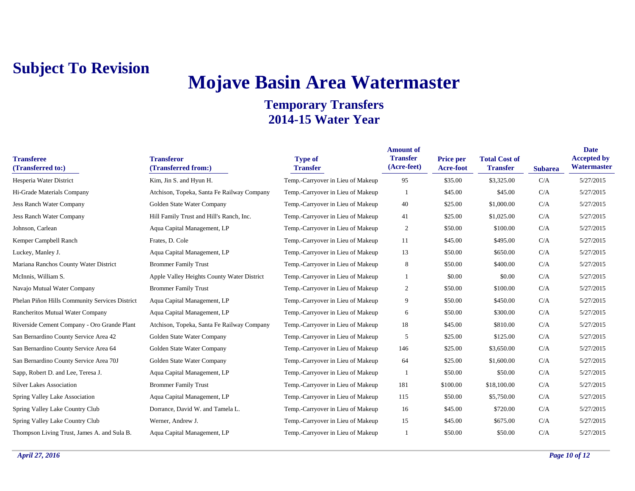## **Mojave Basin Area Watermaster**

| <b>Transferee</b><br>(Transferred to:)         | <b>Transferor</b><br>(Transferred from:)   | <b>Type of</b><br><b>Transfer</b> | <b>Amount of</b><br><b>Transfer</b><br>(Acre-feet) | <b>Price per</b><br>Acre-foot | <b>Total Cost of</b><br><b>Transfer</b> | <b>Subarea</b> | <b>Date</b><br><b>Accepted by</b><br>Watermaster |
|------------------------------------------------|--------------------------------------------|-----------------------------------|----------------------------------------------------|-------------------------------|-----------------------------------------|----------------|--------------------------------------------------|
| Hesperia Water District                        | Kim, Jin S. and Hyun H.                    | Temp.-Carryover in Lieu of Makeup | 95                                                 | \$35.00                       | \$3,325.00                              | C/A            | 5/27/2015                                        |
| Hi-Grade Materials Company                     | Atchison, Topeka, Santa Fe Railway Company | Temp.-Carryover in Lieu of Makeup |                                                    | \$45.00                       | \$45.00                                 | C/A            | 5/27/2015                                        |
| Jess Ranch Water Company                       | Golden State Water Company                 | Temp.-Carryover in Lieu of Makeup | 40                                                 | \$25.00                       | \$1,000.00                              | C/A            | 5/27/2015                                        |
| Jess Ranch Water Company                       | Hill Family Trust and Hill's Ranch, Inc.   | Temp.-Carryover in Lieu of Makeup | 41                                                 | \$25.00                       | \$1,025.00                              | C/A            | 5/27/2015                                        |
| Johnson, Carlean                               | Aqua Capital Management, LP                | Temp.-Carryover in Lieu of Makeup | 2                                                  | \$50.00                       | \$100.00                                | C/A            | 5/27/2015                                        |
| Kemper Campbell Ranch                          | Frates, D. Cole                            | Temp.-Carryover in Lieu of Makeup | 11                                                 | \$45.00                       | \$495.00                                | C/A            | 5/27/2015                                        |
| Luckey, Manley J.                              | Aqua Capital Management, LP                | Temp.-Carryover in Lieu of Makeup | 13                                                 | \$50.00                       | \$650.00                                | C/A            | 5/27/2015                                        |
| Mariana Ranchos County Water District          | <b>Brommer Family Trust</b>                | Temp.-Carryover in Lieu of Makeup | 8                                                  | \$50.00                       | \$400.00                                | C/A            | 5/27/2015                                        |
| McInnis, William S.                            | Apple Valley Heights County Water District | Temp.-Carryover in Lieu of Makeup |                                                    | \$0.00                        | \$0.00                                  | C/A            | 5/27/2015                                        |
| Navajo Mutual Water Company                    | <b>Brommer Family Trust</b>                | Temp.-Carryover in Lieu of Makeup | 2                                                  | \$50.00                       | \$100.00                                | C/A            | 5/27/2015                                        |
| Phelan Piñon Hills Community Services District | Aqua Capital Management, LP                | Temp.-Carryover in Lieu of Makeup | 9                                                  | \$50.00                       | \$450.00                                | C/A            | 5/27/2015                                        |
| Rancheritos Mutual Water Company               | Aqua Capital Management, LP                | Temp.-Carryover in Lieu of Makeup | 6                                                  | \$50.00                       | \$300.00                                | C/A            | 5/27/2015                                        |
| Riverside Cement Company - Oro Grande Plant    | Atchison, Topeka, Santa Fe Railway Company | Temp.-Carryover in Lieu of Makeup | 18                                                 | \$45.00                       | \$810.00                                | C/A            | 5/27/2015                                        |
| San Bernardino County Service Area 42          | Golden State Water Company                 | Temp.-Carryover in Lieu of Makeup | 5                                                  | \$25.00                       | \$125.00                                | C/A            | 5/27/2015                                        |
| San Bernardino County Service Area 64          | Golden State Water Company                 | Temp.-Carryover in Lieu of Makeup | 146                                                | \$25.00                       | \$3,650.00                              | C/A            | 5/27/2015                                        |
| San Bernardino County Service Area 70J         | Golden State Water Company                 | Temp.-Carryover in Lieu of Makeup | 64                                                 | \$25.00                       | \$1,600.00                              | C/A            | 5/27/2015                                        |
| Sapp, Robert D. and Lee, Teresa J.             | Aqua Capital Management, LP                | Temp.-Carryover in Lieu of Makeup | $\overline{1}$                                     | \$50.00                       | \$50.00                                 | C/A            | 5/27/2015                                        |
| <b>Silver Lakes Association</b>                | <b>Brommer Family Trust</b>                | Temp.-Carryover in Lieu of Makeup | 181                                                | \$100.00                      | \$18,100.00                             | C/A            | 5/27/2015                                        |
| Spring Valley Lake Association                 | Aqua Capital Management, LP                | Temp.-Carryover in Lieu of Makeup | 115                                                | \$50.00                       | \$5,750.00                              | C/A            | 5/27/2015                                        |
| Spring Valley Lake Country Club                | Dorrance, David W. and Tamela L.           | Temp.-Carryover in Lieu of Makeup | 16                                                 | \$45.00                       | \$720.00                                | C/A            | 5/27/2015                                        |
| Spring Valley Lake Country Club                | Werner, Andrew J.                          | Temp.-Carryover in Lieu of Makeup | 15                                                 | \$45.00                       | \$675.00                                | C/A            | 5/27/2015                                        |
| Thompson Living Trust, James A. and Sula B.    | Aqua Capital Management, LP                | Temp.-Carryover in Lieu of Makeup |                                                    | \$50.00                       | \$50.00                                 | C/A            | 5/27/2015                                        |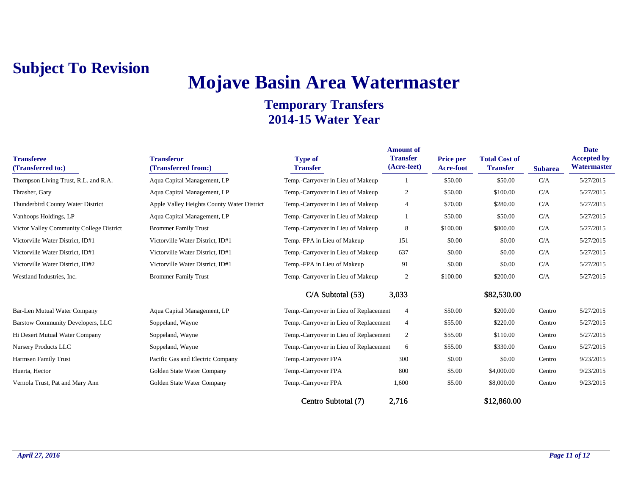## **Mojave Basin Area Watermaster**

| <b>Transferee</b><br>(Transferred to:)   | <b>Transferor</b><br>(Transferred from:)   | <b>Type of</b><br><b>Transfer</b>      | <b>Amount of</b><br><b>Transfer</b><br>(Acre-feet) | <b>Price per</b><br>Acre-foot | <b>Total Cost of</b><br><b>Transfer</b> | <b>Subarea</b> | <b>Date</b><br><b>Accepted by</b><br>Watermaster |
|------------------------------------------|--------------------------------------------|----------------------------------------|----------------------------------------------------|-------------------------------|-----------------------------------------|----------------|--------------------------------------------------|
| Thompson Living Trust, R.L. and R.A.     | Aqua Capital Management, LP                | Temp.-Carryover in Lieu of Makeup      |                                                    | \$50.00                       | \$50.00                                 | C/A            | 5/27/2015                                        |
| Thrasher, Gary                           | Aqua Capital Management, LP                | Temp.-Carryover in Lieu of Makeup      | 2                                                  | \$50.00                       | \$100.00                                | C/A            | 5/27/2015                                        |
| Thunderbird County Water District        | Apple Valley Heights County Water District | Temp.-Carryover in Lieu of Makeup      | $\overline{4}$                                     | \$70.00                       | \$280.00                                | C/A            | 5/27/2015                                        |
| Vanhoops Holdings, LP                    | Aqua Capital Management, LP                | Temp.-Carryover in Lieu of Makeup      |                                                    | \$50.00                       | \$50.00                                 | C/A            | 5/27/2015                                        |
| Victor Valley Community College District | <b>Brommer Family Trust</b>                | Temp.-Carryover in Lieu of Makeup      | 8                                                  | \$100.00                      | \$800.00                                | C/A            | 5/27/2015                                        |
| Victorville Water District, ID#1         | Victorville Water District, ID#1           | Temp.-FPA in Lieu of Makeup            | 151                                                | \$0.00                        | \$0.00                                  | C/A            | 5/27/2015                                        |
| Victorville Water District, ID#1         | Victorville Water District, ID#1           | Temp.-Carryover in Lieu of Makeup      | 637                                                | \$0.00                        | \$0.00                                  | C/A            | 5/27/2015                                        |
| Victorville Water District, ID#2         | Victorville Water District, ID#1           | Temp.-FPA in Lieu of Makeup            | 91                                                 | \$0.00                        | \$0.00                                  | C/A            | 5/27/2015                                        |
| Westland Industries, Inc.                | <b>Brommer Family Trust</b>                | Temp.-Carryover in Lieu of Makeup      | $\overline{2}$                                     | \$100.00                      | \$200.00                                | C/A            | 5/27/2015                                        |
|                                          |                                            | C/A Subtotal (53)                      | 3,033                                              |                               | \$82,530.00                             |                |                                                  |
| <b>Bar-Len Mutual Water Company</b>      | Aqua Capital Management, LP                | Temp.-Carryover in Lieu of Replacement | $\overline{4}$                                     | \$50.00                       | \$200.00                                | Centro         | 5/27/2015                                        |
| Barstow Community Developers, LLC        | Soppeland, Wayne                           | Temp.-Carryover in Lieu of Replacement | $\overline{4}$                                     | \$55.00                       | \$220.00                                | Centro         | 5/27/2015                                        |
| Hi Desert Mutual Water Company           | Soppeland, Wayne                           | Temp.-Carryover in Lieu of Replacement | 2                                                  | \$55.00                       | \$110.00                                | Centro         | 5/27/2015                                        |
| Nursery Products LLC                     | Soppeland, Wayne                           | Temp.-Carryover in Lieu of Replacement | 6                                                  | \$55.00                       | \$330.00                                | Centro         | 5/27/2015                                        |
| Harmsen Family Trust                     | Pacific Gas and Electric Company           | Temp.-Carryover FPA                    | 300                                                | \$0.00                        | \$0.00                                  | Centro         | 9/23/2015                                        |
| Huerta, Hector                           | Golden State Water Company                 | Temp.-Carryover FPA                    | 800                                                | \$5.00                        | \$4,000.00                              | Centro         | 9/23/2015                                        |
| Vernola Trust, Pat and Mary Ann          | Golden State Water Company                 | Temp.-Carryover FPA                    | 1,600                                              | \$5.00                        | \$8,000.00                              | Centro         | 9/23/2015                                        |
|                                          |                                            | Centro Subtotal (7)                    | 2,716                                              |                               | \$12,860.00                             |                |                                                  |